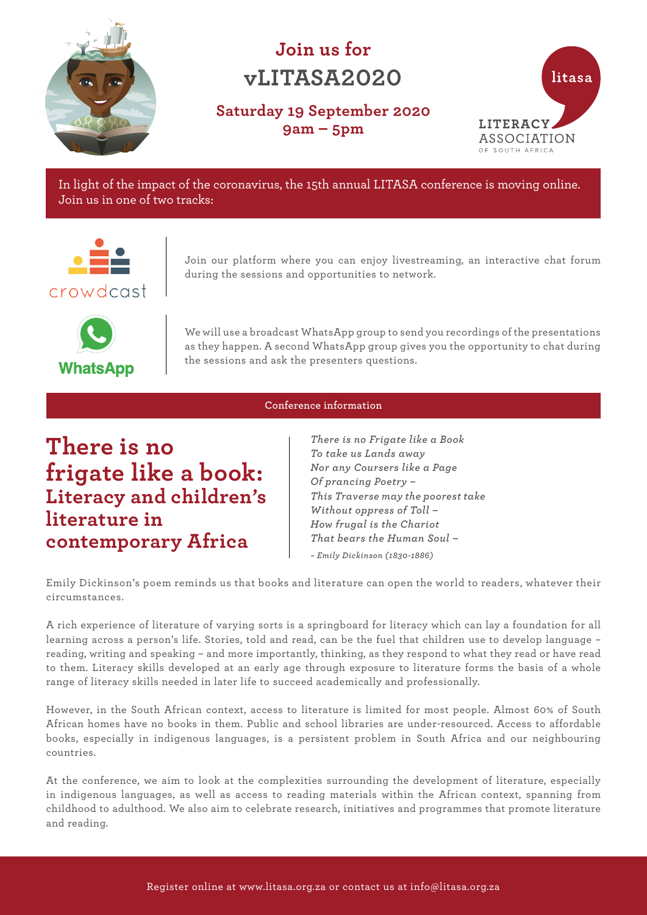

# **Join us for vLITASA2020**

**Saturday 19 September 2020 9am – 5pm**



In light of the impact of the coronavirus, the 15th annual LITASA conference is moving online. Join us in one of two tracks:



Join our platform where you can enjoy livestreaming, an interactive chat forum during the sessions and opportunities to network.



We will use a broadcast WhatsApp group to send you recordings of the presentations as they happen. A second WhatsApp group gives you the opportunity to chat during the sessions and ask the presenters questions.

# **Conference information**

# **There is no frigate like a book: Literacy and children's literature in contemporary Africa**

*There is no Frigate like a Book To take us Lands away Nor any Coursers like a Page Of prancing Poetry – This Traverse may the poorest take Without oppress of Toll – How frugal is the Chariot That bears the Human Soul – ~ Emily Dickinson (1830-1886)* 

Emily Dickinson's poem reminds us that books and literature can open the world to readers, whatever their circumstances.

A rich experience of literature of varying sorts is a springboard for literacy which can lay a foundation for all learning across a person's life. Stories, told and read, can be the fuel that children use to develop language – reading, writing and speaking – and more importantly, thinking, as they respond to what they read or have read to them. Literacy skills developed at an early age through exposure to literature forms the basis of a whole range of literacy skills needed in later life to succeed academically and professionally.

However, in the South African context, access to literature is limited for most people. Almost 60% of South African homes have no books in them. Public and school libraries are under-resourced. Access to affordable books, especially in indigenous languages, is a persistent problem in South Africa and our neighbouring countries.

At the conference, we aim to look at the complexities surrounding the development of literature, especially in indigenous languages, as well as access to reading materials within the African context, spanning from childhood to adulthood. We also aim to celebrate research, initiatives and programmes that promote literature and reading.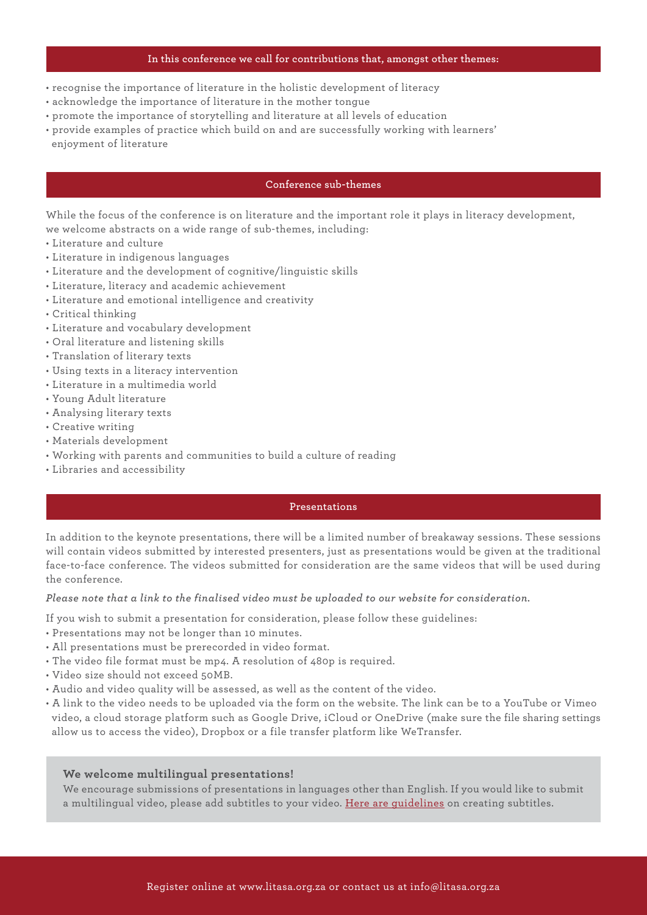#### **In this conference we call for contributions that, amongst other themes:**

- recognise the importance of literature in the holistic development of literacy
- acknowledge the importance of literature in the mother tongue
- promote the importance of storytelling and literature at all levels of education
- provide examples of practice which build on and are successfully working with learners'
- enjoyment of literature

# **Conference sub-themes**

While the focus of the conference is on literature and the important role it plays in literacy development, we welcome abstracts on a wide range of sub-themes, including:

- Literature and culture
- Literature in indigenous languages
- Literature and the development of cognitive/linguistic skills
- Literature, literacy and academic achievement
- Literature and emotional intelligence and creativity
- Critical thinking
- Literature and vocabulary development
- Oral literature and listening skills
- Translation of literary texts
- Using texts in a literacy intervention
- Literature in a multimedia world
- Young Adult literature
- Analysing literary texts
- Creative writing
- Materials development
- Working with parents and communities to build a culture of reading
- Libraries and accessibility

#### **Presentations**

In addition to the keynote presentations, there will be a limited number of breakaway sessions. These sessions will contain videos submitted by interested presenters, just as presentations would be given at the traditional face-to-face conference. The videos submitted for consideration are the same videos that will be used during the conference.

#### *Please note that a link to the finalised video must be uploaded to our website for consideration.*

If you wish to submit a presentation for consideration, please follow these guidelines:

- Presentations may not be longer than 10 minutes.
- All presentations must be prerecorded in video format.
- The video file format must be mp4. A resolution of 480p is required.
- Video size should not exceed 50MB.
- Audio and video quality will be assessed, as well as the content of the video.
- A link to the video needs to be uploaded via the form on the website. The link can be to a YouTube or Vimeo video, a cloud storage platform such as Google Drive, iCloud or OneDrive (make sure the file sharing settings allow us to access the video), Dropbox or a file transfer platform like WeTransfer.

### **We welcome multilingual presentations!**

We encourage submissions of presentations in languag[es other than English.](http://universaldesign.ie/Technology-ICT/Irish-National-IT-Accessibility-Guidelines/Digital-TV-equipment-and-services/guidelines-for-digital-tv-equipment-and-services/Language-translations/Ensure-that-subtitles-are-easy-to-read/) If you would like to submit a multilingual video, please add subtitles to your video. Here are guidelines on creating subtitles.